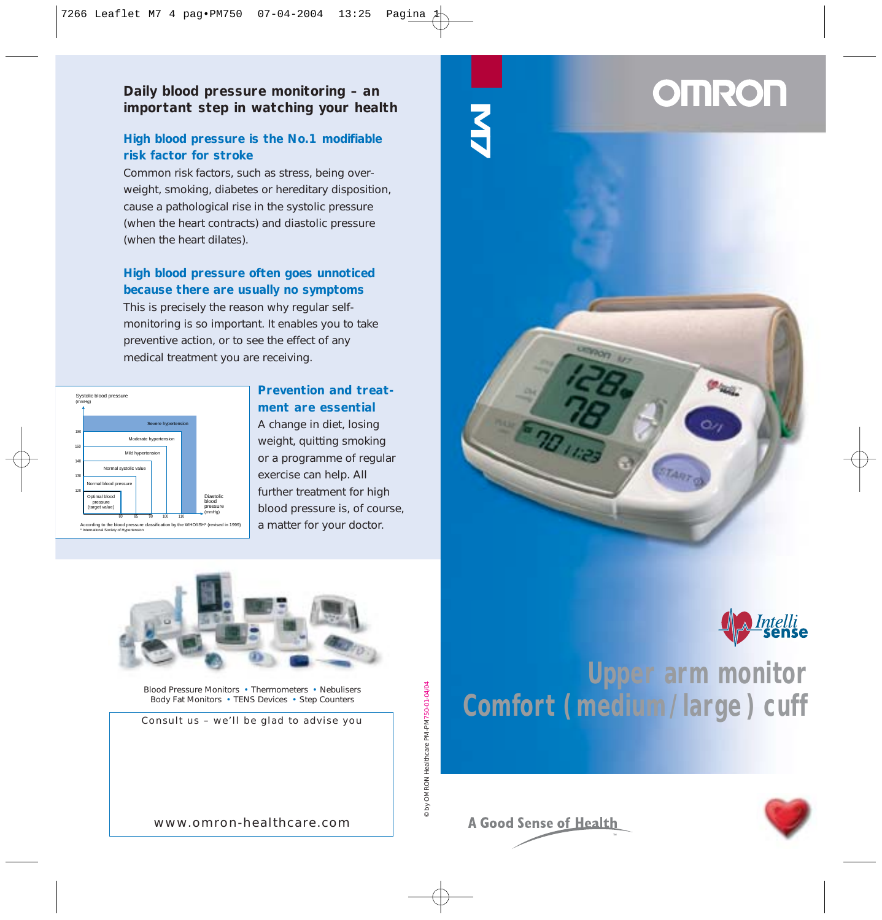# **Daily blood pressure monitoring – an important step in watching your health**

# **High blood pressure is the No.1 modifiable risk factor for stroke**

Common risk factors, such as stress, being overweight, smoking, diabetes or hereditary disposition, cause a pathological rise in the systolic pressure (when the heart contracts) and diastolic pressure (when the heart dilates).

# **High blood pressure often goes unnoticed because there are usually no symptoms**

This is precisely the reason why regular selfmonitoring is so important. It enables you to take preventive action, or to see the effect of any medical treatment you are receiving.



# **Prevention and treatment are essential**

A change in diet, losing weight, quitting smoking or a programme of regular exercise can help. All further treatment for high blood pressure is, of course, a matter for your doctor.



Blood Pressure Monitors • Thermometers • Nebulisers Body Fat Monitors • TENS Devices • Step Counters

Consult us – we'll be glad to advise you



# **Upper arm monitor<br>Comfort (medium/large) cuff** Comfort ( medium / large ) cuff<br>
Comfort ( medium / large ) cuff<br>
Comfort ( medium / large ) cuff



www.omron-healthcare.com

**A Good Sense of Health** 

© by OMRON Healthcare PM-PM750-01-04/04

© by OMRON Healthcare PM-PM750-01-04/04